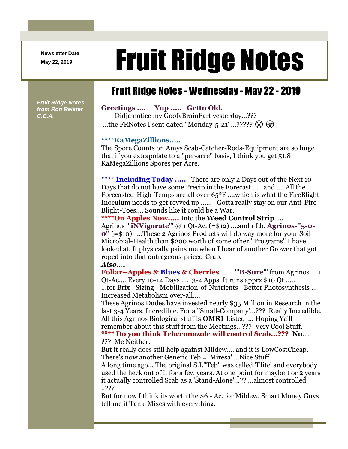**Newsletter Date**

# Newsletter Date **Fruit Ridge Notes**

# Fruit Ridge Notes - Wednesday - May 22 - 2019

*Fruit Ridge Notes from Ron Reister C.C.A.*

### **Greetings .... Yup ..... Gettn Old.**

Didja notice my GoofyBrainFart yesterday...??? ...the FRNotes I sent dated "Monday-5-21"...?????  $\circledR$ 

#### **\*\*\*\*KaMegaZillions.....**

The Spore Counts on Amys Scab-Catcher-Rods-Equipment are so huge that if you extrapolate to a ''per-acre'' basis, I think you get 51.8 KaMegaZillions Spores per Acre.

\*\*\*\* **Including Today .....** There are only 2 Days out of the Next 10 Days that do not have some Precip in the Forecast..... and.... All the Forecasted-High-Temps are all over 65\*F ....which is what the FireBlight Inoculum needs to get revved up ...... Gotta really stay on our Anti-Fire-Blight-Toes.... Sounds like it could be a War.

**\*\*\*\*On Apples Now.....** Into the **Weed Control Strip** .... Agrinos '''**iNVigorate**''' @ 1 Qt-Ac. (=\$12) ....and 1 Lb. **Agrinos-''5-0- 0''** (=\$10) ...These 2 Agrinos Products will do way more for your Soil-Microbial-Health than \$200 worth of some other ''Programs'' I have looked at. It physically pains me when I hear of another Grower that got roped into that outrageous-priced-Crap.

## *Also*.....

**Foliar--Apples & Blues & Cherries** .... '''**B-Sure**''' from Agrinos.... 1 Qt-Ac.... Every 10-14 Days .... 3-4 Apps. It runs apprx \$10 Qt...... ...for Brix - Sizing - Mobilization-of-Nutrients - Better Photosynthesis ... Increased Metabolism over-all....

These Agrinos Dudes have invested nearly \$35 Million in Research in the last 3-4 Years. Incredible. For a ''Small-Company'...??? Really Incredible. All this Agrinos Biological stuff is **OMRI**-Listed ... Hoping Ya'll remember about this stuff from the Meetings...??? Very Cool Stuff. **\*\*\*\* Do you think Tebeconazole will control Scab...??? No**....

??? Me Neither.

But it really does still help against Mildew.... and it is LowCostCheap. There's now another Generic Teb = 'Miresa' ...Nice Stuff.

A long time ago... The original S.I.''Teb'' was called 'Elite' and everybody used the heck out of it for a few years. At one point for maybe 1 or 2 years it actually controlled Scab as a 'Stand-Alone'...?? ...almost controlled ..???

But for now I think its worth the \$6 - Ac. for Mildew. Smart Money Guys tell me it Tank-Mixes with everything.